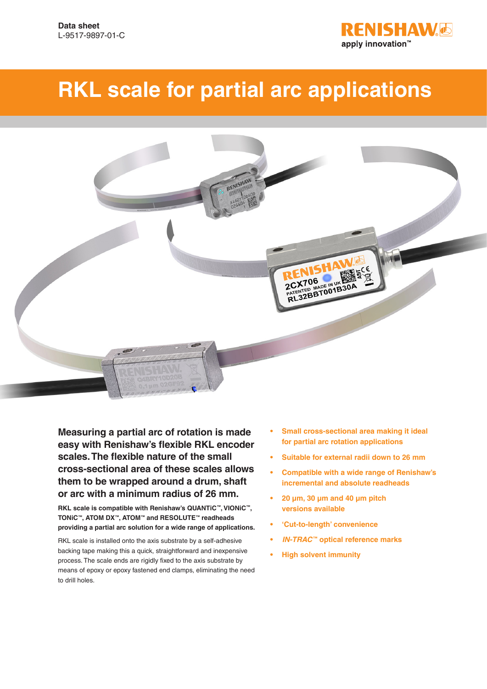

# **RKL scale for partial arc applications**



**Measuring a partial arc of rotation is made easy with Renishaw's flexible RKL encoder scales. The flexible nature of the small cross-sectional area of these scales allows them to be wrapped around a drum, shaft or arc with a minimum radius of 26 mm.**

**RKL scale is compatible with Renishaw's QUANTiC™, VIONiC™, TONiC™, ATOM DX™, ATOM™ and RESOLUTE™ readheads providing a partial arc solution for a wide range of applications.**

RKL scale is installed onto the axis substrate by a self-adhesive backing tape making this a quick, straightforward and inexpensive process. The scale ends are rigidly fixed to the axis substrate by means of epoxy or epoxy fastened end clamps, eliminating the need to drill holes.

- **• Small cross-sectional area making it ideal for partial arc rotation applications**
- **• Suitable for external radii down to 26 mm**
- **• Compatible with a wide range of Renishaw's incremental and absolute readheads**
- **• 20 μm, 30 μm and 40 μm pitch versions available**
- **• 'Cut-to-length' convenience**
- **•** *IN-TRAC* **™ optical reference marks**
- **• High solvent immunity**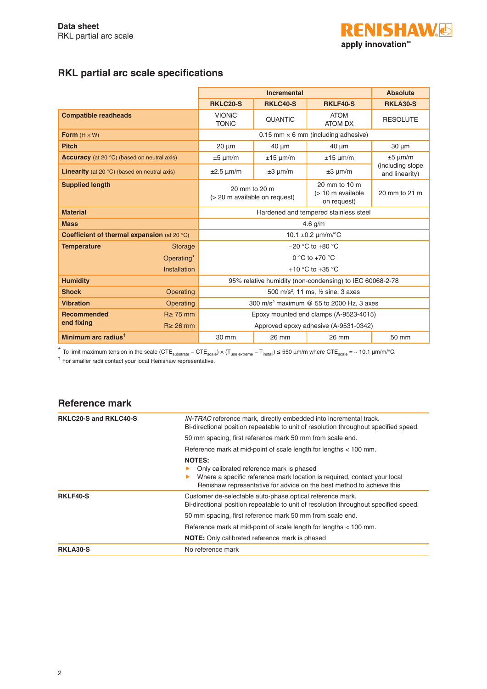

## **RKL partial arc scale specifications**

|                                                              | <b>Incremental</b>                                       |                                    |                                                   | <b>Absolute</b>                    |
|--------------------------------------------------------------|----------------------------------------------------------|------------------------------------|---------------------------------------------------|------------------------------------|
|                                                              | RKLC20-S                                                 | <b>RKLC40-S</b><br><b>RKLF40-S</b> |                                                   |                                    |
| <b>Compatible readheads</b>                                  | <b>VIONIC</b><br><b>TONIC</b>                            | QUANTIC                            | <b>ATOM</b><br><b>ATOM DX</b>                     | <b>RESOLUTE</b>                    |
| Form $(H \times W)$                                          |                                                          |                                    | 0.15 mm $\times$ 6 mm (including adhesive)        |                                    |
| <b>Pitch</b>                                                 | $20 \mu m$                                               | $40 \mu m$                         | $40 \mu m$                                        | $30 \mu m$                         |
| <b>Accuracy</b> (at 20 °C) (based on neutral axis)           | $±5 \mu m/m$                                             | $±15 \mu m/m$                      | $±15 \mu m/m$                                     | $±5 \mu m/m$                       |
| <b>Linearity</b> (at 20 $\degree$ C) (based on neutral axis) | $\pm 2.5$ µm/m                                           | $\pm 3 \mu m/m$                    | $\pm 3 \mu m/m$                                   | (including slope<br>and linearity) |
| <b>Supplied length</b>                                       | 20 mm to 20 m<br>(> 20 m available on request)           |                                    | 20 mm to 10 m<br>(> 10 m available<br>on request) | 20 mm to 21 m                      |
| <b>Material</b>                                              | Hardened and tempered stainless steel                    |                                    |                                                   |                                    |
| <b>Mass</b>                                                  | 4.6 $g/m$                                                |                                    |                                                   |                                    |
| <b>Coefficient of thermal expansion (at 20 °C)</b>           | 10.1 $\pm$ 0.2 $\mu$ m/m/°C                              |                                    |                                                   |                                    |
| <b>Temperature</b><br><b>Storage</b>                         | $-20$ °C to $+80$ °C                                     |                                    |                                                   |                                    |
| Operating*                                                   | $0 °C$ to +70 $°C$                                       |                                    |                                                   |                                    |
| Installation                                                 | +10 $\degree$ C to +35 $\degree$ C                       |                                    |                                                   |                                    |
| <b>Humidity</b>                                              | 95% relative humidity (non-condensing) to IEC 60068-2-78 |                                    |                                                   |                                    |
| <b>Shock</b><br>Operating                                    | 500 m/s <sup>2</sup> , 11 ms, 1/2 sine, 3 axes           |                                    |                                                   |                                    |
| <b>Vibration</b><br>Operating                                | 300 m/s <sup>2</sup> maximum @ 55 to 2000 Hz, 3 axes     |                                    |                                                   |                                    |
| <b>Recommended</b><br>$R \geq 75$ mm                         | Epoxy mounted end clamps (A-9523-4015)                   |                                    |                                                   |                                    |
| end fixing<br>$R \geq 26$ mm                                 | Approved epoxy adhesive (A-9531-0342)                    |                                    |                                                   |                                    |
| Minimum arc radius <sup>t</sup>                              | 30 mm                                                    | 26 mm                              | 26 mm                                             | 50 mm                              |

 $*$  To limit maximum tension in the scale (CTE<sub>substrate</sub> − CTE<sub>scale</sub>) × (T<sub>use extreme</sub> − T<sub>install</sub>) ≤ 550 μm/m where CTE<sub>scale</sub> = ~ 10.1 μm/m/°C.

† For smaller radii contact your local Renishaw representative.

#### **Reference mark**

| <b>RKLC20-S and RKLC40-S</b> | IN-TRAC reference mark, directly embedded into incremental track.<br>Bi-directional position repeatable to unit of resolution throughout specified speed.                                                      |
|------------------------------|----------------------------------------------------------------------------------------------------------------------------------------------------------------------------------------------------------------|
|                              | 50 mm spacing, first reference mark 50 mm from scale end.                                                                                                                                                      |
|                              | Reference mark at mid-point of scale length for lengths < 100 mm.                                                                                                                                              |
|                              | <b>NOTES:</b><br>Only calibrated reference mark is phased<br>Where a specific reference mark location is required, contact your local<br>Renishaw representative for advice on the best method to achieve this |
| <b>RKLF40-S</b>              | Customer de-selectable auto-phase optical reference mark.<br>Bi-directional position repeatable to unit of resolution throughout specified speed.                                                              |
|                              | 50 mm spacing, first reference mark 50 mm from scale end.                                                                                                                                                      |
|                              | Reference mark at mid-point of scale length for lengths < 100 mm.                                                                                                                                              |
|                              | NOTE: Only calibrated reference mark is phased                                                                                                                                                                 |
| <b>RKLA30-S</b>              | No reference mark                                                                                                                                                                                              |
|                              |                                                                                                                                                                                                                |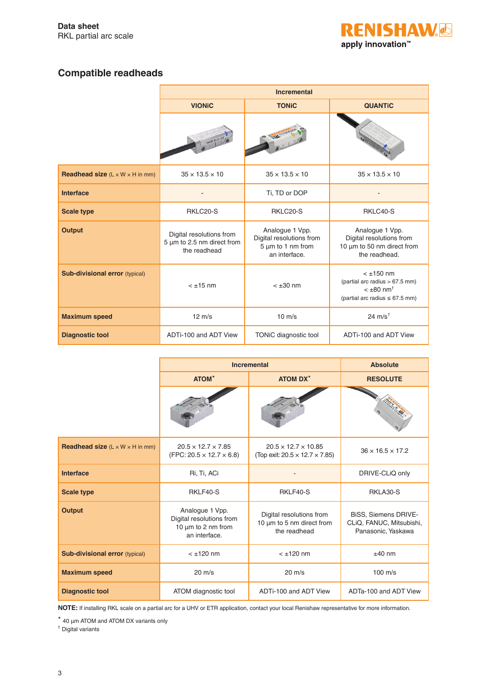

## **Compatible readheads**

|                                                            | <b>Incremental</b>                                                     |                                                                                        |                                                                                                                       |
|------------------------------------------------------------|------------------------------------------------------------------------|----------------------------------------------------------------------------------------|-----------------------------------------------------------------------------------------------------------------------|
|                                                            | <b>TONIC</b><br><b>VIONIC</b>                                          |                                                                                        | <b>QUANTIC</b>                                                                                                        |
|                                                            |                                                                        |                                                                                        |                                                                                                                       |
| <b>Readhead size</b> $(L \times W \times H \text{ in mm})$ | $35 \times 13.5 \times 10$                                             | $35 \times 13.5 \times 10$                                                             | $35 \times 13.5 \times 10$                                                                                            |
| <b>Interface</b>                                           |                                                                        | Ti, TD or DOP                                                                          |                                                                                                                       |
| <b>Scale type</b>                                          | RKLC20-S                                                               | RKLC20-S                                                                               | RKLC40-S                                                                                                              |
| <b>Output</b>                                              | Digital resolutions from<br>5 µm to 2.5 nm direct from<br>the readhead | Analogue 1 Vpp.<br>Digital resolutions from<br>$5 \mu m$ to 1 nm from<br>an interface. | Analogue 1 Vpp.<br>Digital resolutions from<br>10 µm to 50 nm direct from<br>the readhead.                            |
| <b>Sub-divisional error</b> (typical)                      | $< \pm 15$ nm                                                          | $< \pm 30$ nm                                                                          | $< \pm 150$ nm<br>(partial arc radius > 67.5 mm)<br>$< \pm 80$ nm <sup>+</sup><br>(partial arc radius $\leq 67.5$ mm) |
| <b>Maximum speed</b>                                       | $12 \text{ m/s}$                                                       | $10 \text{ m/s}$                                                                       | 24 $m/s^{\dagger}$                                                                                                    |
| <b>Diagnostic tool</b>                                     | ADTi-100 and ADT View                                                  | TONiC diagnostic tool                                                                  | ADTi-100 and ADT View                                                                                                 |

|                                                            | <b>Incremental</b>                                                                      | <b>Absolute</b>                                                                |                                                                               |
|------------------------------------------------------------|-----------------------------------------------------------------------------------------|--------------------------------------------------------------------------------|-------------------------------------------------------------------------------|
|                                                            | ATOM*                                                                                   | <b>ATOM DX*</b>                                                                | <b>RESOLUTE</b>                                                               |
|                                                            |                                                                                         |                                                                                |                                                                               |
| <b>Readhead size</b> $(L \times W \times H \text{ in mm})$ | $20.5 \times 12.7 \times 7.85$<br>$(FPC: 20.5 \times 12.7 \times 6.8)$                  | $20.5 \times 12.7 \times 10.85$<br>(Top exit: $20.5 \times 12.7 \times 7.85$ ) | $36 \times 16.5 \times 17.2$                                                  |
| <b>Interface</b>                                           | Ri, Ti, ACi                                                                             |                                                                                | DRIVE-CLiQ only                                                               |
| <b>Scale type</b>                                          | RKLF40-S                                                                                | RKLF40-S                                                                       | RKLA30-S                                                                      |
| <b>Output</b>                                              | Analogue 1 Vpp.<br>Digital resolutions from<br>10 $\mu$ m to 2 nm from<br>an interface. | Digital resolutions from<br>10 µm to 5 nm direct from<br>the readhead          | <b>BiSS, Siemens DRIVE-</b><br>CLiQ, FANUC, Mitsubishi,<br>Panasonic, Yaskawa |
| <b>Sub-divisional error (typical)</b>                      | $< \pm 120$ nm                                                                          | $<$ $\pm$ 120 nm                                                               | $±40$ nm                                                                      |
| <b>Maximum speed</b>                                       | $20 \text{ m/s}$                                                                        | $20 \text{ m/s}$                                                               | $100 \text{ m/s}$                                                             |
| <b>Diagnostic tool</b>                                     | ATOM diagnostic tool                                                                    | ADTi-100 and ADT View                                                          | ADTa-100 and ADT View                                                         |

**NOTE:** If installing RKL scale on a partial arc for a UHV or ETR application, contact your local Renishaw representative for more information.

\* 40 μm ATOM and ATOM DX variants only

† Digital variants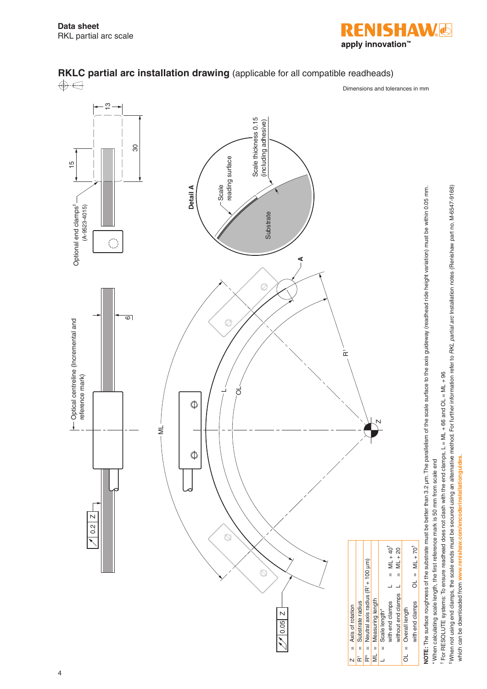

which can be downloaded from **[www.renishaw.com/encoderinstallationguides](http://www.renishaw.com/encoderinstallationguides)**.

which can be downloaded from www.renishaw.com/encoderinstallationguides.





4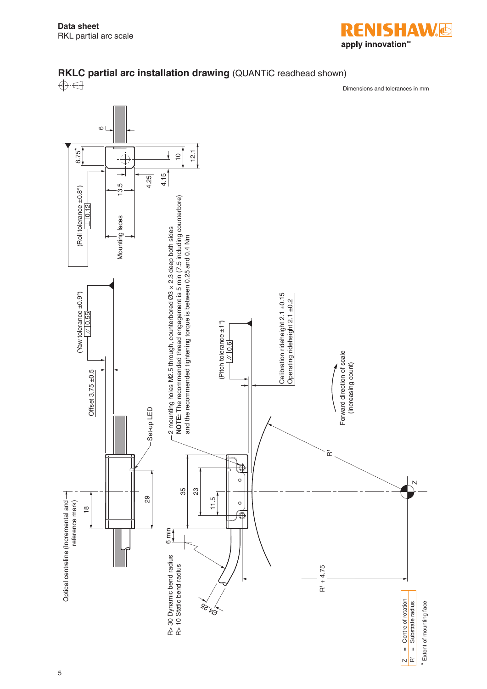

 $\frac{1}{2}$ 



# **RKLC partial arc installation drawing** (QUANTiC readhead shown)<br>
A  $\bigoplus$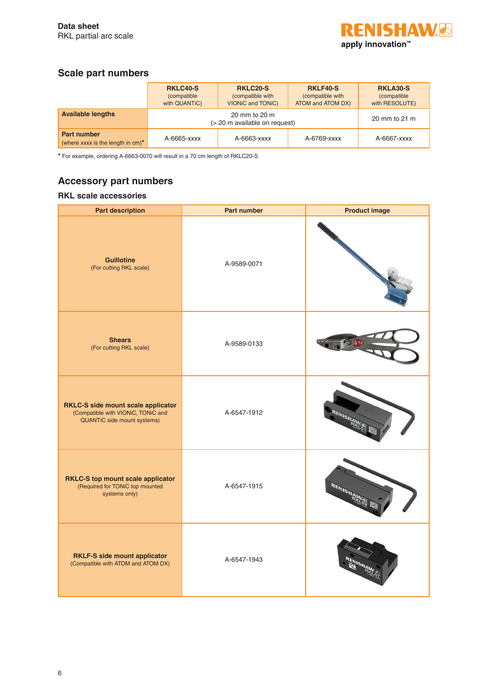

## **Scale part numbers**

|                                                            | <b>RKLC40-S</b><br><i>(compatible)</i><br>with QUANTIC) | <b>RKLC20-S</b><br>(compatible with<br><b>VIONIC and TONIC)</b> | <b>RKLF40-S</b><br>(compatible with<br>ATOM and ATOM DX) | <b>RKLA30-S</b><br><i>(compatible</i><br>with RESOLUTE) |
|------------------------------------------------------------|---------------------------------------------------------|-----------------------------------------------------------------|----------------------------------------------------------|---------------------------------------------------------|
| <b>Available lengths</b>                                   | 20 mm to 20 m<br>(> 20 m available on request)          |                                                                 |                                                          | 20 mm to 21 m                                           |
| <b>Part number</b><br>(where xxxx is the length in $cm$ )* | A-6665-xxxx                                             | A-6663-xxxx                                                     | A-6769-xxxx                                              | A-6667-xxxx                                             |

**\*** For example, ordering A-6663-0070 will result in a 70 cm length of RKLC20-S

### **Accessory part numbers**

### **RKL scale accessories**

| <b>Part description</b>                                                                                 | <b>Part number</b> | <b>Product image</b> |
|---------------------------------------------------------------------------------------------------------|--------------------|----------------------|
| <b>Guillotine</b><br>(For cutting RKL scale)                                                            | A-9589-0071        |                      |
| <b>Shears</b><br>(For cutting RKL scale)                                                                | A-9589-0133        |                      |
| RKLC-S side mount scale applicator<br>(Compatible with VIONiC, TONiC and<br>QUANTIC side mount systems) | A-6547-1912        | <b>ENISHAWS</b>      |
| RKLC-S top mount scale applicator<br>(Required for TONiC top mounted<br>systems only)                   | A-6547-1915        | RENISHA              |
| <b>RKLF-S side mount applicator</b><br>(Compatible with ATOM and ATOM DX)                               | A-6547-1943        |                      |